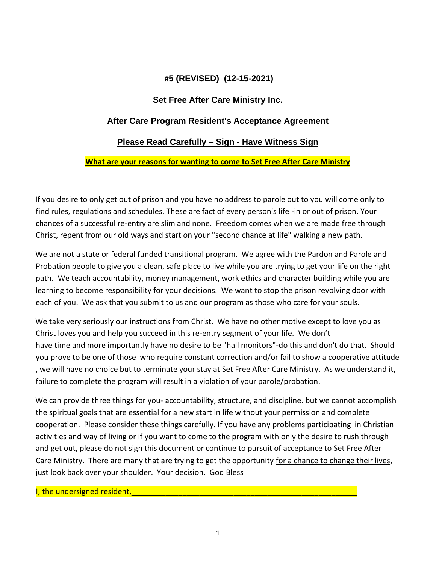# #**5 (REVISED) (12-15-2021)**

## **Set Free After Care Ministry Inc.**

#### **After Care Program Resident's Acceptance Agreement**

#### **Please Read Carefully – Sign - Have Witness Sign**

#### **What are your reasons for wanting to come to Set Free After Care Ministry**

If you desire to only get out of prison and you have no address to parole out to you will come only to find rules, regulations and schedules. These are fact of every person's life -in or out of prison. Your chances of a successful re-entry are slim and none. Freedom comes when we are made free through Christ, repent from our old ways and start on your "second chance at life" walking a new path.

We are not a state or federal funded transitional program. We agree with the Pardon and Parole and Probation people to give you a clean, safe place to live while you are trying to get your life on the right path. We teach accountability, money management, work ethics and character building while you are learning to become responsibility for your decisions. We want to stop the prison revolving door with each of you. We ask that you submit to us and our program as those who care for your souls.

We take very seriously our instructions from Christ. We have no other motive except to love you as Christ loves you and help you succeed in this re-entry segment of your life. We don't have time and more importantly have no desire to be "hall monitors"-do this and don't do that. Should you prove to be one of those who require constant correction and/or fail to show a cooperative attitude , we will have no choice but to terminate your stay at Set Free After Care Ministry. As we understand it, failure to complete the program will result in a violation of your parole/probation.

We can provide three things for you- accountability, structure, and discipline. but we cannot accomplish the spiritual goals that are essential for a new start in life without your permission and complete cooperation. Please consider these things carefully. If you have any problems participating in Christian activities and way of living or if you want to come to the program with only the desire to rush through and get out, please do not sign this document or continue to pursuit of acceptance to Set Free After Care Ministry. There are many that are trying to get the opportunity for a chance to change their lives, just look back over your shoulder. Your decision. God Bless

I, the undersigned resident,  $\Box$  and  $\Box$  and  $\Box$  and  $\Box$  and  $\Box$  and  $\Box$  and  $\Box$  and  $\Box$  and  $\Box$  and  $\Box$  and  $\Box$  and  $\Box$  and  $\Box$  and  $\Box$  and  $\Box$  and  $\Box$  and  $\Box$  and  $\Box$  and  $\Box$  and  $\Box$  and  $\Box$  and  $\Box$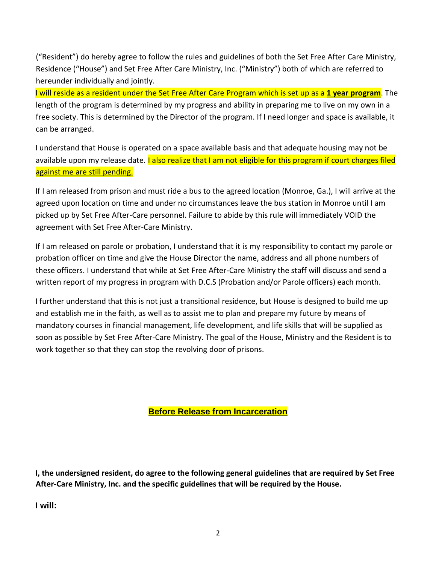("Resident") do hereby agree to follow the rules and guidelines of both the Set Free After Care Ministry, Residence ("House") and Set Free After Care Ministry, Inc. ("Ministry") both of which are referred to hereunder individually and jointly.

I will reside as a resident under the Set Free After Care Program which is set up as a **1 year program**. The length of the program is determined by my progress and ability in preparing me to live on my own in a free society. This is determined by the Director of the program. If I need longer and space is available, it can be arranged.

I understand that House is operated on a space available basis and that adequate housing may not be available upon my release date. *Lalso realize that I am not eligible for this program if court charges filed* against me are still pending.

If I am released from prison and must ride a bus to the agreed location (Monroe, Ga.), I will arrive at the agreed upon location on time and under no circumstances leave the bus station in Monroe until I am picked up by Set Free After-Care personnel. Failure to abide by this rule will immediately VOID the agreement with Set Free After-Care Ministry.

If I am released on parole or probation, I understand that it is my responsibility to contact my parole or probation officer on time and give the House Director the name, address and all phone numbers of these officers. I understand that while at Set Free After-Care Ministry the staff will discuss and send a written report of my progress in program with D.C.S (Probation and/or Parole officers) each month.

I further understand that this is not just a transitional residence, but House is designed to build me up and establish me in the faith, as well as to assist me to plan and prepare my future by means of mandatory courses in financial management, life development, and life skills that will be supplied as soon as possible by Set Free After-Care Ministry. The goal of the House, Ministry and the Resident is to work together so that they can stop the revolving door of prisons.

**Before Release from Incarceration**

**I, the undersigned resident, do agree to the following general guidelines that are required by Set Free After-Care Ministry, Inc. and the specific guidelines that will be required by the House.** 

**I will:**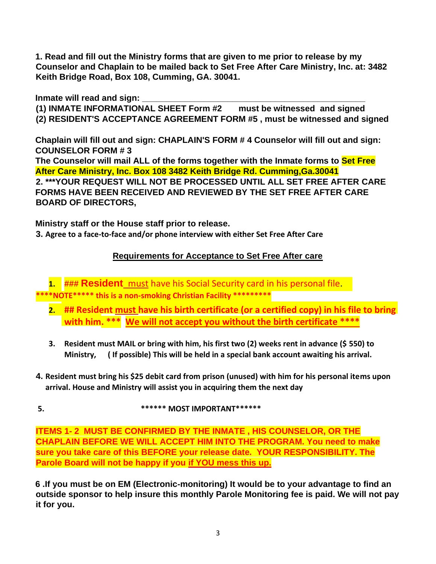**1. Read and fill out the Ministry forms that are given to me prior to release by my Counselor and Chaplain to be mailed back to Set Free After Care Ministry, Inc. at: 3482 Keith Bridge Road, Box 108, Cumming, GA. 30041.** 

**Inmate will read and sign: \_\_\_\_\_\_\_\_\_\_\_\_\_\_\_\_\_\_\_\_\_\_\_\_\_\_\_\_\_\_\_\_\_\_\_\_\_\_\_\_\_\_\_\_\_\_\_** 

**(1) INMATE INFORMATIONAL SHEET Form #2 must be witnessed and signed (2) RESIDENT'S ACCEPTANCE AGREEMENT FORM #5 , must be witnessed and signed**

**Chaplain will fill out and sign: CHAPLAIN'S FORM # 4 Counselor will fill out and sign: COUNSELOR FORM # 3** 

**The Counselor will mail ALL of the forms together with the Inmate forms to Set Free After Care Ministry, Inc. Box 108 3482 Keith Bridge Rd. Cumming,Ga.30041 2. \*\*\*YOUR REQUEST WILL NOT BE PROCESSED UNTIL ALL SET FREE AFTER CARE FORMS HAVE BEEN RECEIVED AND REVIEWED BY THE SET FREE AFTER CARE BOARD OF DIRECTORS,** 

**Ministry staff or the House staff prior to release.** 

**3. Agree to a face-to-face and/or phone interview with either Set Free After Care** 

# **Requirements for Acceptance to Set Free After care**

**1. ### Resident** must have his Social Security card in his personal file. **\*\*\*\*NOTE\*\*\*\*\* this is a non-smoking Christian Facility \*\*\*\*\*\*\*\*\*** 

- **2. ## Resident must have his birth certificate (or a certified copy) in his file to bring with him. \*\*\* We will not accept you without the birth certificate \*\*\*\***
- **3. Resident must MAIL or bring with him, his first two (2) weeks rent in advance (\$ 550) to Ministry, ( If possible) This will be held in a special bank account awaiting his arrival.**
- **4. Resident must bring his \$25 debit card from prison (unused) with him for his personal items upon arrival. House and Ministry will assist you in acquiring them the next day**
- **5. \*\*\*\*\*\* MOST IMPORTANT\*\*\*\*\*\***

**ITEMS 1- 2 MUST BE CONFIRMED BY THE INMATE , HIS COUNSELOR, OR THE CHAPLAIN BEFORE WE WILL ACCEPT HIM INTO THE PROGRAM. You need to make sure you take care of this BEFORE your release date. YOUR RESPONSIBILITY. The Parole Board will not be happy if you if YOU mess this up.**

**6 .If you must be on EM (Electronic-monitoring) It would be to your advantage to find an outside sponsor to help insure this monthly Parole Monitoring fee is paid. We will not pay it for you.**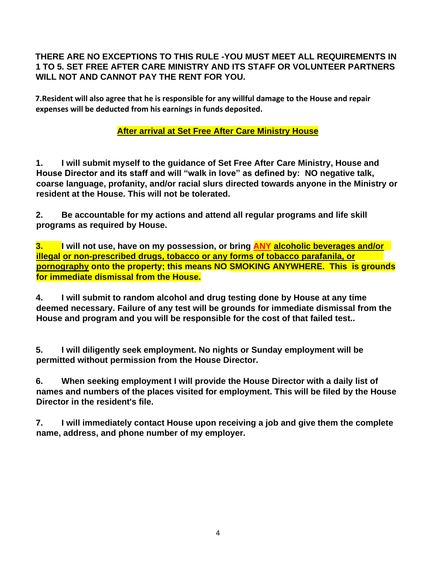## **THERE ARE NO EXCEPTIONS TO THIS RULE -YOU MUST MEET ALL REQUIREMENTS IN 1 TO 5. SET FREE AFTER CARE MINISTRY AND ITS STAFF OR VOLUNTEER PARTNERS WILL NOT AND CANNOT PAY THE RENT FOR YOU.**

**7.Resident will also agree that he is responsible for any willful damage to the House and repair expenses will be deducted from his earnings in funds deposited.** 

# **After arrival at Set Free After Care Ministry House**

**1. I will submit myself to the guidance of Set Free After Care Ministry, House and House Director and its staff and will "walk in love" as defined by: NO negative talk, coarse language, profanity, and/or racial slurs directed towards anyone in the Ministry or resident at the House. This will not be tolerated.** 

**2. Be accountable for my actions and attend all regular programs and life skill programs as required by House.** 

**3. I will not use, have on my possession, or bring ANY alcoholic beverages and/or illegal or non-prescribed drugs, tobacco or any forms of tobacco parafanila, or pornography onto the property; this means NO SMOKING ANYWHERE. This is grounds for immediate dismissal from the House.** 

**4. I will submit to random alcohol and drug testing done by House at any time deemed necessary. Failure of any test will be grounds for immediate dismissal from the House and program and you will be responsible for the cost of that failed test..** 

**5. I will diligently seek employment. No nights or Sunday employment will be permitted without permission from the House Director.** 

**6. When seeking employment I will provide the House Director with a daily list of names and numbers of the places visited for employment. This will be filed by the House Director in the resident's file.** 

**7. I will immediately contact House upon receiving a job and give them the complete name, address, and phone number of my employer.**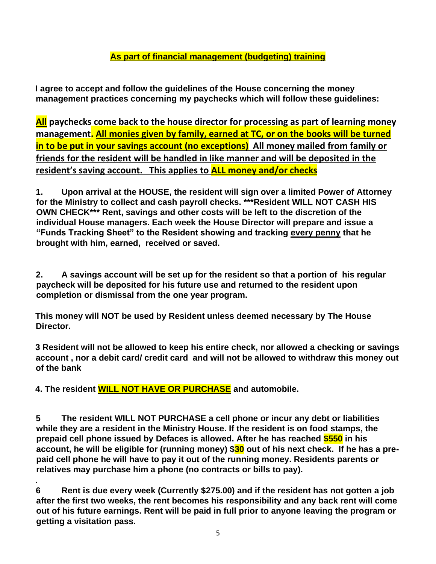# **As part of financial management (budgeting) training**

**I agree to accept and follow the guidelines of the House concerning the money management practices concerning my paychecks which will follow these guidelines:** 

**All paychecks come back to the house director for processing as part of learning money management. All monies given by family, earned at TC, or on the books will be turned in to be put in your savings account (no exceptions) All money mailed from family or friends for the resident will be handled in like manner and will be deposited in the resident's saving account. This applies to ALL money and/or checks** 

**1. Upon arrival at the HOUSE, the resident will sign over a limited Power of Attorney for the Ministry to collect and cash payroll checks. \*\*\*Resident WILL NOT CASH HIS OWN CHECK\*\*\* Rent, savings and other costs will be left to the discretion of the individual House managers. Each week the House Director will prepare and issue a "Funds Tracking Sheet" to the Resident showing and tracking every penny that he brought with him, earned, received or saved.** 

**2. A savings account will be set up for the resident so that a portion of his regular paycheck will be deposited for his future use and returned to the resident upon completion or dismissal from the one year program.** 

**This money will NOT be used by Resident unless deemed necessary by The House Director.** 

**3 Resident will not be allowed to keep his entire check, nor allowed a checking or savings account , nor a debit card/ credit card and will not be allowed to withdraw this money out of the bank** 

**4. The resident WILL NOT HAVE OR PURCHASE and automobile.** 

**5 The resident WILL NOT PURCHASE a cell phone or incur any debt or liabilities while they are a resident in the Ministry House. If the resident is on food stamps, the prepaid cell phone issued by Defaces is allowed. After he has reached \$550 in his account, he will be eligible for (running money) \$30 out of his next check. If he has a prepaid cell phone he will have to pay it out of the running money. Residents parents or relatives may purchase him a phone (no contracts or bills to pay).**

. **6 Rent is due every week (Currently \$275.00) and if the resident has not gotten a job after the first two weeks, the rent becomes his responsibility and any back rent will come out of his future earnings. Rent will be paid in full prior to anyone leaving the program or getting a visitation pass.**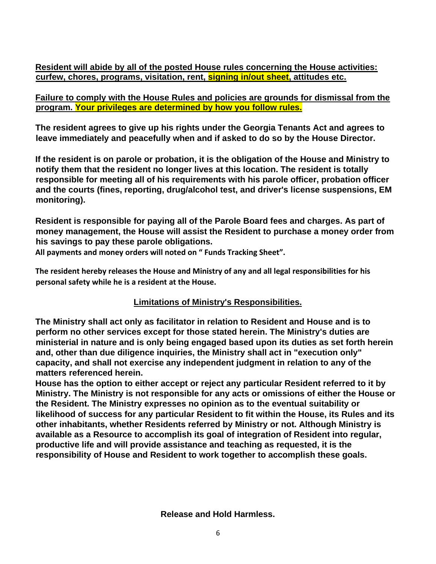**Resident will abide by all of the posted House rules concerning the House activities: curfew, chores, programs, visitation, rent, signing in/out sheet, attitudes etc.** 

**Failure to comply with the House Rules and policies are grounds for dismissal from the program. Your privileges are determined by how you follow rules.**

**The resident agrees to give up his rights under the Georgia Tenants Act and agrees to leave immediately and peacefully when and if asked to do so by the House Director.** 

**If the resident is on parole or probation, it is the obligation of the House and Ministry to notify them that the resident no longer lives at this location. The resident is totally responsible for meeting all of his requirements with his parole officer, probation officer and the courts (fines, reporting, drug/alcohol test, and driver's license suspensions, EM monitoring).** 

**Resident is responsible for paying all of the Parole Board fees and charges. As part of money management, the House will assist the Resident to purchase a money order from his savings to pay these parole obligations.**

**All payments and money orders will noted on " Funds Tracking Sheet".**

**The resident hereby releases the House and Ministry of any and all legal responsibilities for his personal safety while he is a resident at the House.** 

## **Limitations of Ministry's Responsibilities.**

**The Ministry shall act only as facilitator in relation to Resident and House and is to perform no other services except for those stated herein. The Ministry's duties are ministerial in nature and is only being engaged based upon its duties as set forth herein and, other than due diligence inquiries, the Ministry shall act in "execution only" capacity, and shall not exercise any independent judgment in relation to any of the matters referenced herein.** 

**House has the option to either accept or reject any particular Resident referred to it by Ministry. The Ministry is not responsible for any acts or omissions of either the House or the Resident. The Ministry expresses no opinion as to the eventual suitability or likelihood of success for any particular Resident to fit within the House, its Rules and its other inhabitants, whether Residents referred by Ministry or not. Although Ministry is available as a Resource to accomplish its goal of integration of Resident into regular, productive life and will provide assistance and teaching as requested, it is the responsibility of House and Resident to work together to accomplish these goals.**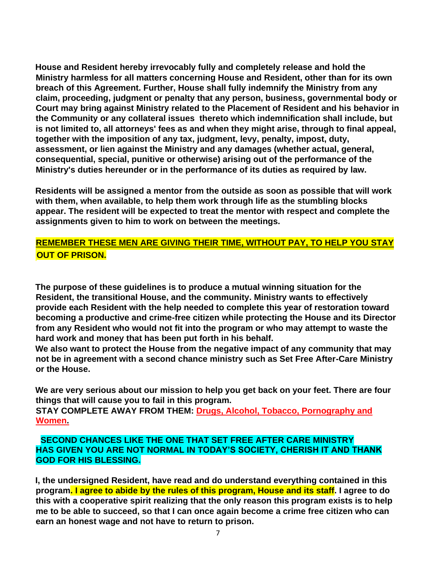**House and Resident hereby irrevocably fully and completely release and hold the Ministry harmless for all matters concerning House and Resident, other than for its own breach of this Agreement. Further, House shall fully indemnify the Ministry from any claim, proceeding, judgment or penalty that any person, business, governmental body or Court may bring against Ministry related to the Placement of Resident and his behavior in the Community or any collateral issues thereto which indemnification shall include, but is not limited to, all attorneys' fees as and when they might arise, through to final appeal, together with the imposition of any tax, judgment, levy, penalty, impost, duty, assessment, or lien against the Ministry and any damages (whether actual, general, consequential, special, punitive or otherwise) arising out of the performance of the Ministry's duties hereunder or in the performance of its duties as required by law.** 

**Residents will be assigned a mentor from the outside as soon as possible that will work with them, when available, to help them work through life as the stumbling blocks appear. The resident will be expected to treat the mentor with respect and complete the assignments given to him to work on between the meetings.** 

## **REMEMBER THESE MEN ARE GIVING THEIR TIME, WITHOUT PAY, TO HELP YOU STAY OUT OF PRISON.**

**The purpose of these guidelines is to produce a mutual winning situation for the Resident, the transitional House, and the community. Ministry wants to effectively provide each Resident with the help needed to complete this year of restoration toward becoming a productive and crime-free citizen while protecting the House and its Director from any Resident who would not fit into the program or who may attempt to waste the hard work and money that has been put forth in his behalf.** 

**We also want to protect the House from the negative impact of any community that may not be in agreement with a second chance ministry such as Set Free After-Care Ministry or the House.** 

**We are very serious about our mission to help you get back on your feet. There are four things that will cause you to fail in this program.** 

**STAY COMPLETE AWAY FROM THEM: Drugs, Alcohol, Tobacco, Pornography and Women.** 

#### **SECOND CHANCES LIKE THE ONE THAT SET FREE AFTER CARE MINISTRY HAS GIVEN YOU ARE NOT NORMAL IN TODAY'S SOCIETY, CHERISH IT AND THANK GOD FOR HIS BLESSING.**

**I, the undersigned Resident, have read and do understand everything contained in this program. I agree to abide by the rules of this program, House and its staff. I agree to do this with a cooperative spirit realizing that the only reason this program exists is to help me to be able to succeed, so that I can once again become a crime free citizen who can earn an honest wage and not have to return to prison.**